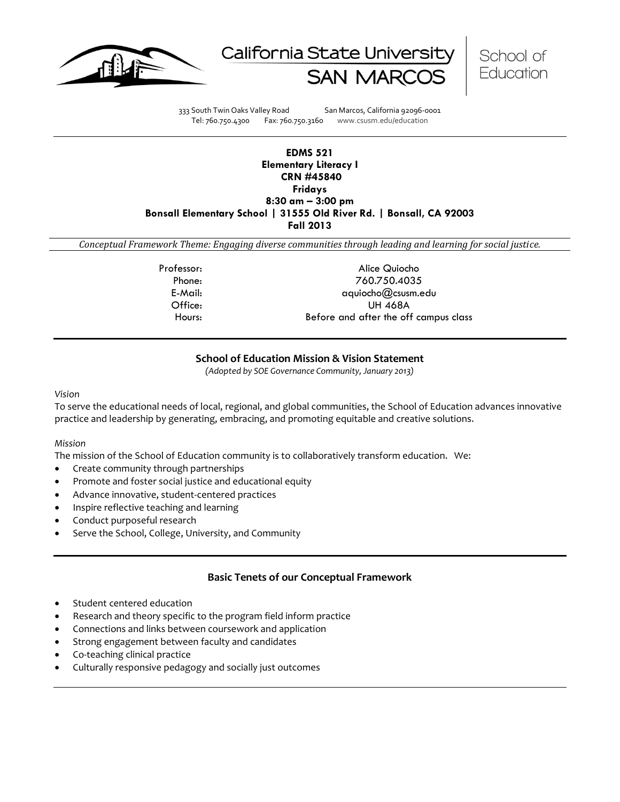





333 South Twin Oaks Valley Road San Marcos, California 92096-0001 Tel: 760.750.4300 Fax: 760.750.3160 www.csusm.edu/education

## **EDMS 521 Elementary Literacy I CRN #45840 Fridays 8:30 am – 3:00 pm Bonsall Elementary School | 31555 Old River Rd. | Bonsall, CA 92003 Fall 2013**

*Conceptual Framework Theme: Engaging diverse communities through leading and learning for social justice.*

Professor: Alice Quiocho Phone: 760.750.4035 E-Mail: aquiocho@csusm.edu Office: UH 468A Hours: Before and after the off campus class

# **School of Education Mission & Vision Statement**

*(Adopted by SOE Governance Community, January 2013)*

*Vision*

To serve the educational needs of local, regional, and global communities, the School of Education advances innovative practice and leadership by generating, embracing, and promoting equitable and creative solutions.

### *Mission*

The mission of the School of Education community is to collaboratively transform education. We:

- Create community through partnerships
- Promote and foster social justice and educational equity
- Advance innovative, student-centered practices
- Inspire reflective teaching and learning
- Conduct purposeful research
- Serve the School, College, University, and Community

# **Basic Tenets of our Conceptual Framework**

- Student centered education
- Research and theory specific to the program field inform practice
- Connections and links between coursework and application
- Strong engagement between faculty and candidates
- Co-teaching clinical practice
- Culturally responsive pedagogy and socially just outcomes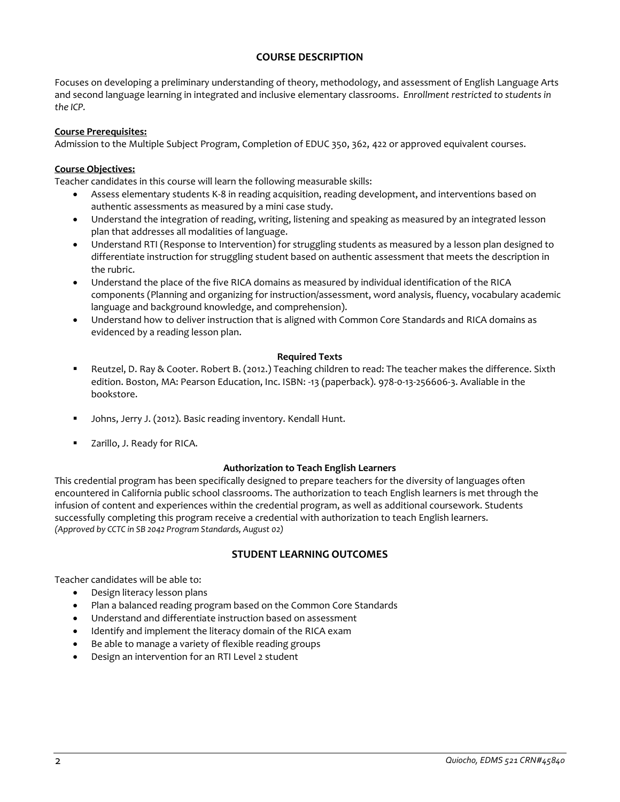# **COURSE DESCRIPTION**

Focuses on developing a preliminary understanding of theory, methodology, and assessment of English Language Arts and second language learning in integrated and inclusive elementary classrooms. *Enrollment restricted to students in the ICP.*

## **Course Prerequisites:**

Admission to the Multiple Subject Program, Completion of EDUC 350, 362, 422 or approved equivalent courses.

## **Course Objectives:**

Teacher candidates in this course will learn the following measurable skills:

- Assess elementary students K-8 in reading acquisition, reading development, and interventions based on authentic assessments as measured by a mini case study.
- Understand the integration of reading, writing, listening and speaking as measured by an integrated lesson plan that addresses all modalities of language.
- Understand RTI (Response to Intervention) for struggling students as measured by a lesson plan designed to differentiate instruction for struggling student based on authentic assessment that meets the description in the rubric.
- Understand the place of the five RICA domains as measured by individual identification of the RICA components (Planning and organizing for instruction/assessment, word analysis, fluency, vocabulary academic language and background knowledge, and comprehension).
- Understand how to deliver instruction that is aligned with Common Core Standards and RICA domains as evidenced by a reading lesson plan.

## **Required Texts**

- Reutzel, D. Ray & Cooter. Robert B. (2012.) Teaching children to read: The teacher makes the difference. Sixth edition. Boston, MA: Pearson Education, Inc. ISBN: -13 (paperback). 978-0-13-256606-3. Avaliable in the bookstore.
- Johns, Jerry J. (2012). Basic reading inventory. Kendall Hunt.
- Zarillo, J. Ready for RICA.

### **Authorization to Teach English Learners**

This credential program has been specifically designed to prepare teachers for the diversity of languages often encountered in California public school classrooms. The authorization to teach English learners is met through the infusion of content and experiences within the credential program, as well as additional coursework. Students successfully completing this program receive a credential with authorization to teach English learners. *(Approved by CCTC in SB 2042 Program Standards, August 02)*

# **STUDENT LEARNING OUTCOMES**

Teacher candidates will be able to:

- Design literacy lesson plans
- Plan a balanced reading program based on the Common Core Standards
- Understand and differentiate instruction based on assessment
- Identify and implement the literacy domain of the RICA exam
- Be able to manage a variety of flexible reading groups
- Design an intervention for an RTI Level 2 student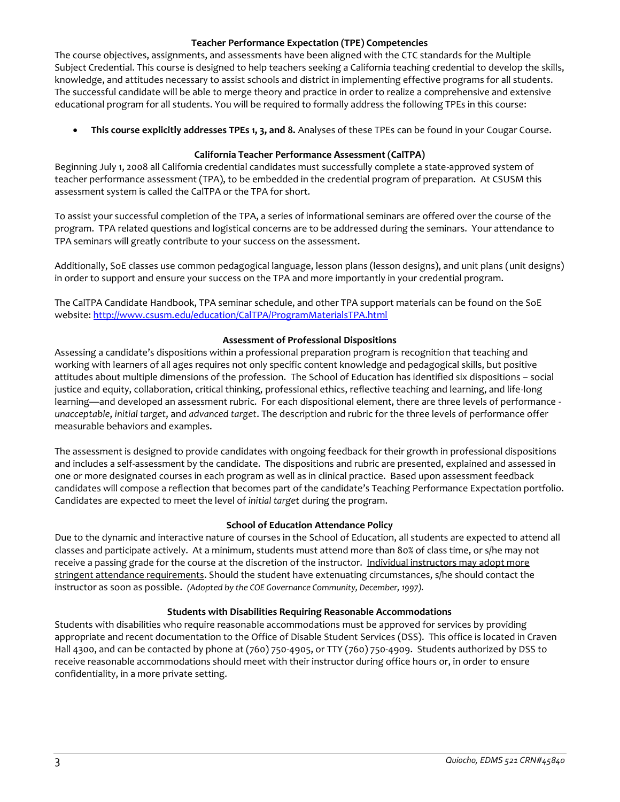## **Teacher Performance Expectation (TPE) Competencies**

The course objectives, assignments, and assessments have been aligned with the CTC standards for the Multiple Subject Credential. This course is designed to help teachers seeking a California teaching credential to develop the skills, knowledge, and attitudes necessary to assist schools and district in implementing effective programs for all students. The successful candidate will be able to merge theory and practice in order to realize a comprehensive and extensive educational program for all students. You will be required to formally address the following TPEs in this course:

**This course explicitly addresses TPEs 1, 3, and 8.** Analyses of these TPEs can be found in your Cougar Course.

## **California Teacher Performance Assessment (CalTPA)**

Beginning July 1, 2008 all California credential candidates must successfully complete a state-approved system of teacher performance assessment (TPA), to be embedded in the credential program of preparation. At CSUSM this assessment system is called the CalTPA or the TPA for short.

To assist your successful completion of the TPA, a series of informational seminars are offered over the course of the program. TPA related questions and logistical concerns are to be addressed during the seminars. Your attendance to TPA seminars will greatly contribute to your success on the assessment.

Additionally, SoE classes use common pedagogical language, lesson plans (lesson designs), and unit plans (unit designs) in order to support and ensure your success on the TPA and more importantly in your credential program.

The CalTPA Candidate Handbook, TPA seminar schedule, and other TPA support materials can be found on the SoE website:<http://www.csusm.edu/education/CalTPA/ProgramMaterialsTPA.html>

## **Assessment of Professional Dispositions**

Assessing a candidate's dispositions within a professional preparation program is recognition that teaching and working with learners of all ages requires not only specific content knowledge and pedagogical skills, but positive attitudes about multiple dimensions of the profession. The School of Education has identified six dispositions – social justice and equity, collaboration, critical thinking, professional ethics, reflective teaching and learning, and life-long learning—and developed an assessment rubric. For each dispositional element, there are three levels of performance *unacceptable*, *initial target*, and *advanced target*. The description and rubric for the three levels of performance offer measurable behaviors and examples.

The assessment is designed to provide candidates with ongoing feedback for their growth in professional dispositions and includes a self-assessment by the candidate. The dispositions and rubric are presented, explained and assessed in one or more designated courses in each program as well as in clinical practice. Based upon assessment feedback candidates will compose a reflection that becomes part of the candidate's Teaching Performance Expectation portfolio. Candidates are expected to meet the level of *initial target* during the program.

### **School of Education Attendance Policy**

Due to the dynamic and interactive nature of courses in the School of Education, all students are expected to attend all classes and participate actively. At a minimum, students must attend more than 80% of class time, or s/he may not receive a passing grade for the course at the discretion of the instructor. Individual instructors may adopt more stringent attendance requirements. Should the student have extenuating circumstances, s/he should contact the instructor as soon as possible. *(Adopted by the COE Governance Community, December, 1997).*

### **Students with Disabilities Requiring Reasonable Accommodations**

Students with disabilities who require reasonable accommodations must be approved for services by providing appropriate and recent documentation to the Office of Disable Student Services (DSS). This office is located in Craven Hall 4300, and can be contacted by phone at (760) 750-4905, or TTY (760) 750-4909. Students authorized by DSS to receive reasonable accommodations should meet with their instructor during office hours or, in order to ensure confidentiality, in a more private setting.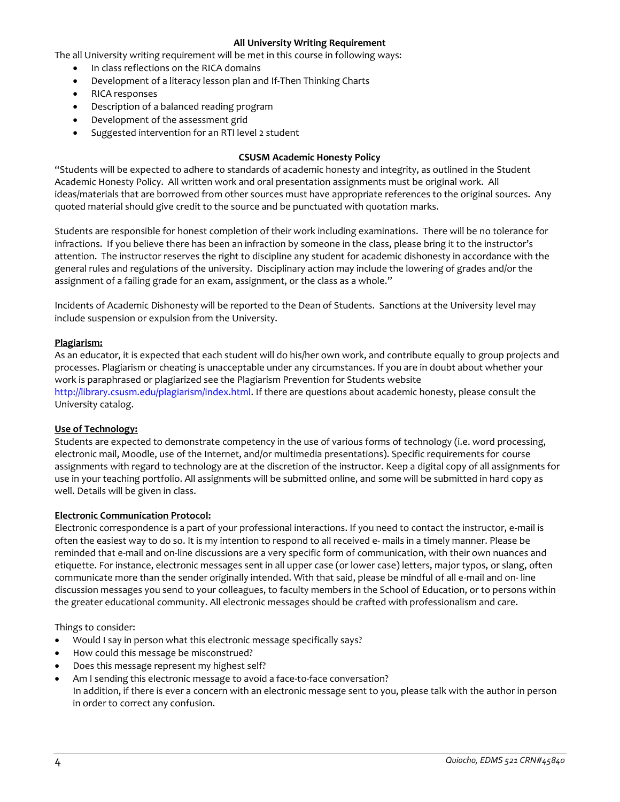## **All University Writing Requirement**

The all University writing requirement will be met in this course in following ways:

- In class reflections on the RICA domains
- Development of a literacy lesson plan and If-Then Thinking Charts
- RICA responses
- Description of a balanced reading program
- Development of the assessment grid
- Suggested intervention for an RTI level 2 student

## **CSUSM Academic Honesty Policy**

"Students will be expected to adhere to standards of academic honesty and integrity, as outlined in the Student Academic Honesty Policy. All written work and oral presentation assignments must be original work. All ideas/materials that are borrowed from other sources must have appropriate references to the original sources. Any quoted material should give credit to the source and be punctuated with quotation marks.

Students are responsible for honest completion of their work including examinations. There will be no tolerance for infractions. If you believe there has been an infraction by someone in the class, please bring it to the instructor's attention. The instructor reserves the right to discipline any student for academic dishonesty in accordance with the general rules and regulations of the university. Disciplinary action may include the lowering of grades and/or the assignment of a failing grade for an exam, assignment, or the class as a whole."

Incidents of Academic Dishonesty will be reported to the Dean of Students. Sanctions at the University level may include suspension or expulsion from the University.

### **Plagiarism:**

As an educator, it is expected that each student will do his/her own work, and contribute equally to group projects and processes. Plagiarism or cheating is unacceptable under any circumstances. If you are in doubt about whether your work is paraphrased or plagiarized see the Plagiarism Prevention for Students website http://library.csusm.edu/plagiarism/index.html. If there are questions about academic honesty, please consult the University catalog.

### **Use of Technology:**

Students are expected to demonstrate competency in the use of various forms of technology (i.e. word processing, electronic mail, Moodle, use of the Internet, and/or multimedia presentations). Specific requirements for course assignments with regard to technology are at the discretion of the instructor. Keep a digital copy of all assignments for use in your teaching portfolio. All assignments will be submitted online, and some will be submitted in hard copy as well. Details will be given in class.

### **Electronic Communication Protocol:**

Electronic correspondence is a part of your professional interactions. If you need to contact the instructor, e-mail is often the easiest way to do so. It is my intention to respond to all received e- mails in a timely manner. Please be reminded that e-mail and on-line discussions are a very specific form of communication, with their own nuances and etiquette. For instance, electronic messages sent in all upper case (or lower case) letters, major typos, or slang, often communicate more than the sender originally intended. With that said, please be mindful of all e-mail and on- line discussion messages you send to your colleagues, to faculty members in the School of Education, or to persons within the greater educational community. All electronic messages should be crafted with professionalism and care.

Things to consider:

- Would I say in person what this electronic message specifically says?
- How could this message be misconstrued?
- Does this message represent my highest self?
- Am I sending this electronic message to avoid a face-to-face conversation? In addition, if there is ever a concern with an electronic message sent to you, please talk with the author in person in order to correct any confusion.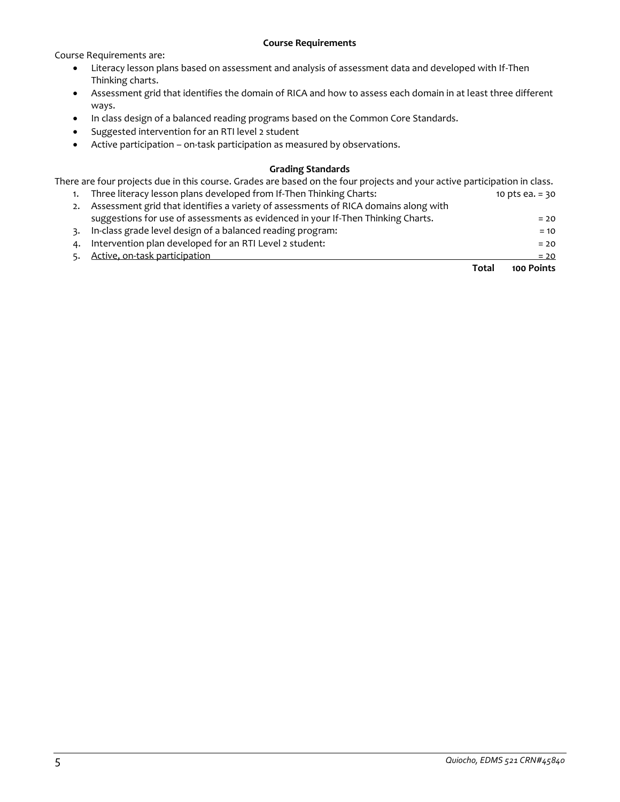### **Course Requirements**

Course Requirements are:

- Literacy lesson plans based on assessment and analysis of assessment data and developed with If-Then Thinking charts.
- Assessment grid that identifies the domain of RICA and how to assess each domain in at least three different ways.
- In class design of a balanced reading programs based on the Common Core Standards.
- Suggested intervention for an RTI level 2 student
- Active participation on-task participation as measured by observations.

## **Grading Standards**

There are four projects due in this course. Grades are based on the four projects and your active participation in class.

| 4. | Intervention plan developed for an RTI Level 2 student:                             | $= 20$            |
|----|-------------------------------------------------------------------------------------|-------------------|
| 3. | In-class grade level design of a balanced reading program:                          | $= 10$            |
|    | suggestions for use of assessments as evidenced in your If-Then Thinking Charts.    | $= 20$            |
| 2. | Assessment grid that identifies a variety of assessments of RICA domains along with |                   |
|    | Three literacy lesson plans developed from If-Then Thinking Charts:                 | 10 pts ea. $= 30$ |

**Total 100 Points**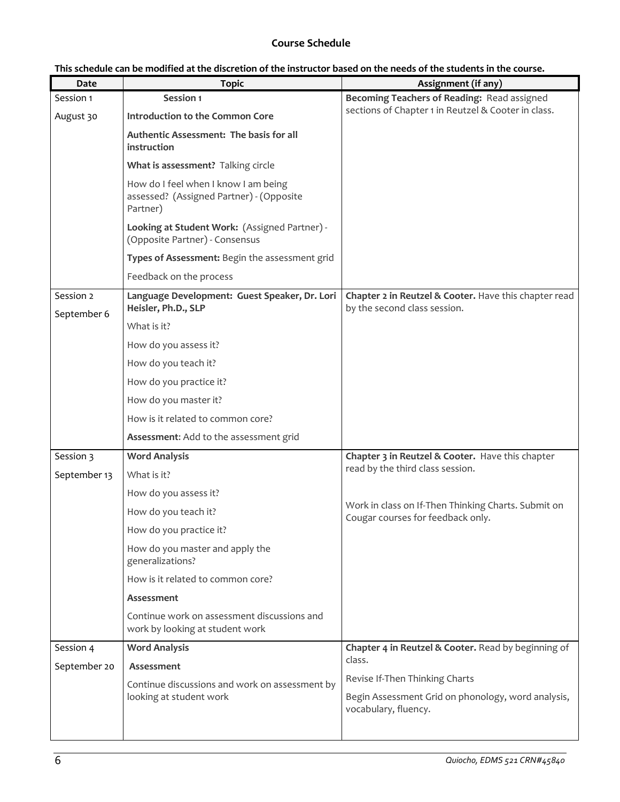# **Course Schedule**

| This schedule can be modified at the discretion of the instructor based on the needs of the students in the course. |  |
|---------------------------------------------------------------------------------------------------------------------|--|
|---------------------------------------------------------------------------------------------------------------------|--|

| Date                     | <b>Topic</b>                                                                                 | Assignment (if any)                                                                      |  |
|--------------------------|----------------------------------------------------------------------------------------------|------------------------------------------------------------------------------------------|--|
| Session 1                | Session 1                                                                                    | Becoming Teachers of Reading: Read assigned                                              |  |
| August 30                | Introduction to the Common Core                                                              | sections of Chapter 1 in Reutzel & Cooter in class.                                      |  |
|                          | Authentic Assessment: The basis for all<br>instruction                                       |                                                                                          |  |
|                          | What is assessment? Talking circle                                                           |                                                                                          |  |
|                          | How do I feel when I know I am being<br>assessed? (Assigned Partner) - (Opposite<br>Partner) |                                                                                          |  |
|                          | Looking at Student Work: (Assigned Partner) -<br>(Opposite Partner) - Consensus              |                                                                                          |  |
|                          | Types of Assessment: Begin the assessment grid                                               |                                                                                          |  |
|                          | Feedback on the process                                                                      |                                                                                          |  |
| Session 2<br>September 6 | Language Development: Guest Speaker, Dr. Lori<br>Heisler, Ph.D., SLP                         | Chapter 2 in Reutzel & Cooter. Have this chapter read<br>by the second class session.    |  |
|                          | What is it?                                                                                  |                                                                                          |  |
|                          | How do you assess it?                                                                        |                                                                                          |  |
|                          | How do you teach it?                                                                         |                                                                                          |  |
|                          | How do you practice it?                                                                      |                                                                                          |  |
|                          | How do you master it?                                                                        |                                                                                          |  |
|                          | How is it related to common core?                                                            |                                                                                          |  |
|                          | Assessment: Add to the assessment grid                                                       |                                                                                          |  |
| Session 3                | <b>Word Analysis</b>                                                                         | Chapter 3 in Reutzel & Cooter. Have this chapter                                         |  |
| September 13             | What is it?                                                                                  | read by the third class session.                                                         |  |
|                          | How do you assess it?                                                                        |                                                                                          |  |
|                          | How do you teach it?                                                                         | Work in class on If-Then Thinking Charts. Submit on<br>Cougar courses for feedback only. |  |
|                          | How do you practice it?                                                                      |                                                                                          |  |
|                          | How do you master and apply the<br>generalizations?                                          |                                                                                          |  |
|                          | How is it related to common core?                                                            |                                                                                          |  |
|                          | Assessment                                                                                   |                                                                                          |  |
|                          | Continue work on assessment discussions and<br>work by looking at student work               |                                                                                          |  |
| Session 4                | <b>Word Analysis</b><br>Assessment<br>Continue discussions and work on assessment by         | Chapter 4 in Reutzel & Cooter. Read by beginning of<br>class.                            |  |
| September 20             |                                                                                              |                                                                                          |  |
|                          |                                                                                              | Revise If-Then Thinking Charts                                                           |  |
| looking at student work  |                                                                                              | Begin Assessment Grid on phonology, word analysis,<br>vocabulary, fluency.               |  |
|                          |                                                                                              |                                                                                          |  |